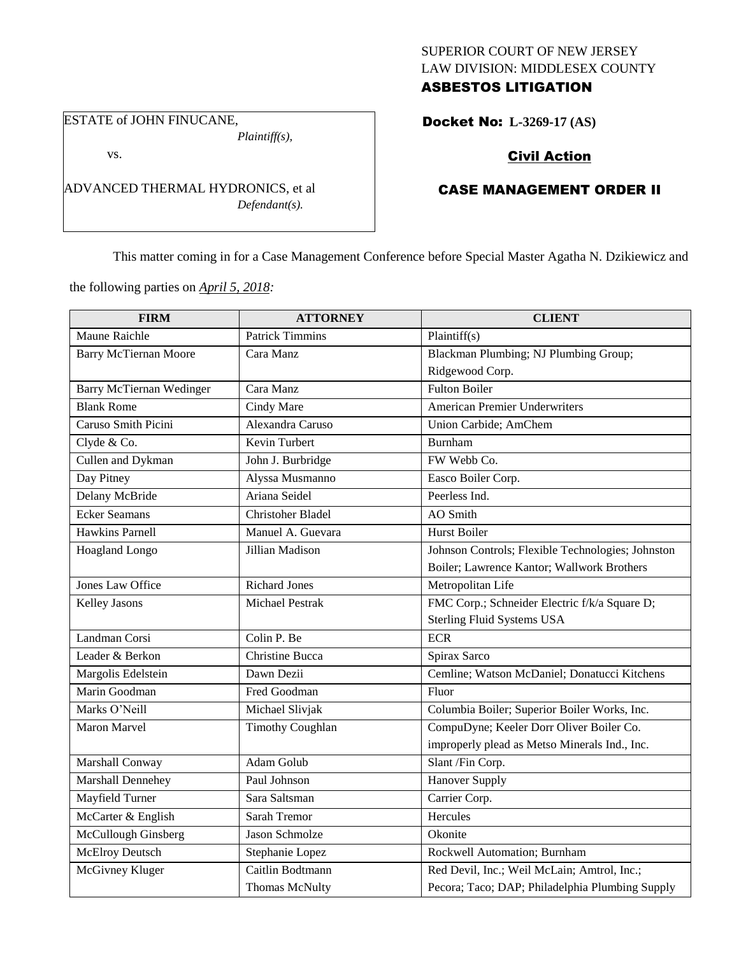## SUPERIOR COURT OF NEW JERSEY LAW DIVISION: MIDDLESEX COUNTY ASBESTOS LITIGATION

ESTATE of JOHN FINUCANE,

vs.

*Plaintiff(s),*

*Defendant(s).*

Docket No: **L-3269-17 (AS)** 

# Civil Action

# CASE MANAGEMENT ORDER II

This matter coming in for a Case Management Conference before Special Master Agatha N. Dzikiewicz and

the following parties on *April 5, 2018:*

ADVANCED THERMAL HYDRONICS, et al

| <b>FIRM</b>                     | <b>ATTORNEY</b>          | <b>CLIENT</b>                                     |
|---------------------------------|--------------------------|---------------------------------------------------|
| Maune Raichle                   | <b>Patrick Timmins</b>   | Plaintiff(s)                                      |
| <b>Barry McTiernan Moore</b>    | Cara Manz                | Blackman Plumbing; NJ Plumbing Group;             |
|                                 |                          | Ridgewood Corp.                                   |
| <b>Barry McTiernan Wedinger</b> | Cara Manz                | <b>Fulton Boiler</b>                              |
| <b>Blank Rome</b>               | Cindy Mare               | <b>American Premier Underwriters</b>              |
| Caruso Smith Picini             | Alexandra Caruso         | Union Carbide; AmChem                             |
| Clyde & Co.                     | Kevin Turbert            | <b>Burnham</b>                                    |
| Cullen and Dykman               | John J. Burbridge        | FW Webb Co.                                       |
| Day Pitney                      | Alyssa Musmanno          | Easco Boiler Corp.                                |
| Delany McBride                  | Ariana Seidel            | Peerless Ind.                                     |
| <b>Ecker Seamans</b>            | <b>Christoher Bladel</b> | <b>AO</b> Smith                                   |
| <b>Hawkins Parnell</b>          | Manuel A. Guevara        | <b>Hurst Boiler</b>                               |
| Hoagland Longo                  | Jillian Madison          | Johnson Controls; Flexible Technologies; Johnston |
|                                 |                          | Boiler; Lawrence Kantor; Wallwork Brothers        |
| Jones Law Office                | <b>Richard Jones</b>     | Metropolitan Life                                 |
| <b>Kelley Jasons</b>            | <b>Michael Pestrak</b>   | FMC Corp.; Schneider Electric f/k/a Square D;     |
|                                 |                          | <b>Sterling Fluid Systems USA</b>                 |
| Landman Corsi                   | Colin P. Be              | <b>ECR</b>                                        |
| Leader & Berkon                 | Christine Bucca          | Spirax Sarco                                      |
| Margolis Edelstein              | Dawn Dezii               | Cemline; Watson McDaniel; Donatucci Kitchens      |
| Marin Goodman                   | Fred Goodman             | Fluor                                             |
| Marks O'Neill                   | Michael Slivjak          | Columbia Boiler; Superior Boiler Works, Inc.      |
| <b>Maron Marvel</b>             | <b>Timothy Coughlan</b>  | CompuDyne; Keeler Dorr Oliver Boiler Co.          |
|                                 |                          | improperly plead as Metso Minerals Ind., Inc.     |
| Marshall Conway                 | Adam Golub               | Slant /Fin Corp.                                  |
| Marshall Dennehey               | Paul Johnson             | Hanover Supply                                    |
| Mayfield Turner                 | Sara Saltsman            | Carrier Corp.                                     |
| McCarter & English              | <b>Sarah Tremor</b>      | Hercules                                          |
| McCullough Ginsberg             | Jason Schmolze           | Okonite                                           |
| <b>McElroy Deutsch</b>          | Stephanie Lopez          | Rockwell Automation; Burnham                      |
| McGivney Kluger                 | Caitlin Bodtmann         | Red Devil, Inc.; Weil McLain; Amtrol, Inc.;       |
|                                 | Thomas McNulty           | Pecora; Taco; DAP; Philadelphia Plumbing Supply   |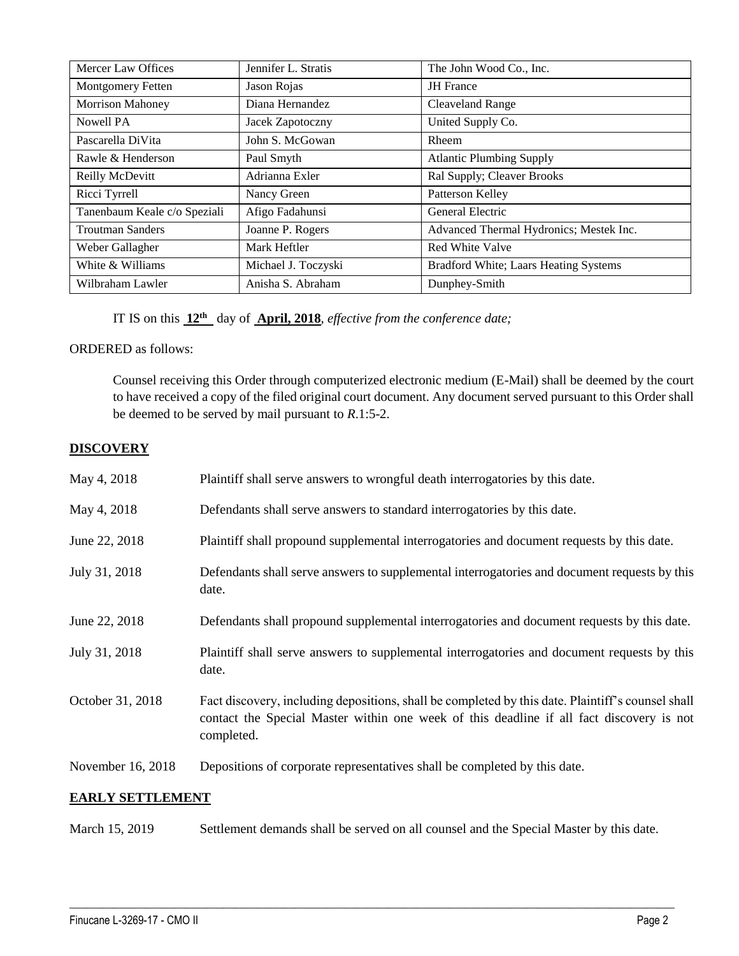| Mercer Law Offices           | Jennifer L. Stratis | The John Wood Co., Inc.                 |
|------------------------------|---------------------|-----------------------------------------|
| <b>Montgomery Fetten</b>     | Jason Rojas         | <b>JH</b> France                        |
| <b>Morrison Mahoney</b>      | Diana Hernandez     | <b>Cleaveland Range</b>                 |
| Nowell PA                    | Jacek Zapotoczny    | United Supply Co.                       |
| Pascarella DiVita            | John S. McGowan     | Rheem                                   |
| Rawle & Henderson            | Paul Smyth          | <b>Atlantic Plumbing Supply</b>         |
| Reilly McDevitt              | Adrianna Exler      | Ral Supply; Cleaver Brooks              |
| Ricci Tyrrell                | Nancy Green         | Patterson Kelley                        |
| Tanenbaum Keale c/o Speziali | Afigo Fadahunsi     | General Electric                        |
| <b>Troutman Sanders</b>      | Joanne P. Rogers    | Advanced Thermal Hydronics; Mestek Inc. |
| Weber Gallagher              | Mark Heftler        | Red White Valve                         |
| White & Williams             | Michael J. Toczyski | Bradford White; Laars Heating Systems   |
| Wilbraham Lawler             | Anisha S. Abraham   | Dunphey-Smith                           |

IT IS on this **12th** day of **April, 2018**, *effective from the conference date;*

### ORDERED as follows:

Counsel receiving this Order through computerized electronic medium (E-Mail) shall be deemed by the court to have received a copy of the filed original court document. Any document served pursuant to this Order shall be deemed to be served by mail pursuant to *R*.1:5-2.

## **DISCOVERY**

| May 4, 2018             | Plaintiff shall serve answers to wrongful death interrogatories by this date.                                                                                                                               |  |
|-------------------------|-------------------------------------------------------------------------------------------------------------------------------------------------------------------------------------------------------------|--|
| May 4, 2018             | Defendants shall serve answers to standard interrogatories by this date.                                                                                                                                    |  |
| June 22, 2018           | Plaintiff shall propound supplemental interrogatories and document requests by this date.                                                                                                                   |  |
| July 31, 2018           | Defendants shall serve answers to supplemental interrogatories and document requests by this<br>date.                                                                                                       |  |
| June 22, 2018           | Defendants shall propound supplemental interrogatories and document requests by this date.                                                                                                                  |  |
| July 31, 2018           | Plaintiff shall serve answers to supplemental interrogatories and document requests by this<br>date.                                                                                                        |  |
| October 31, 2018        | Fact discovery, including depositions, shall be completed by this date. Plaintiff's counsel shall<br>contact the Special Master within one week of this deadline if all fact discovery is not<br>completed. |  |
| November 16, 2018       | Depositions of corporate representatives shall be completed by this date.                                                                                                                                   |  |
| <b>EARLY SETTLEMENT</b> |                                                                                                                                                                                                             |  |

March 15, 2019 Settlement demands shall be served on all counsel and the Special Master by this date.

 $\_$  ,  $\_$  ,  $\_$  ,  $\_$  ,  $\_$  ,  $\_$  ,  $\_$  ,  $\_$  ,  $\_$  ,  $\_$  ,  $\_$  ,  $\_$  ,  $\_$  ,  $\_$  ,  $\_$  ,  $\_$  ,  $\_$  ,  $\_$  ,  $\_$  ,  $\_$  ,  $\_$  ,  $\_$  ,  $\_$  ,  $\_$  ,  $\_$  ,  $\_$  ,  $\_$  ,  $\_$  ,  $\_$  ,  $\_$  ,  $\_$  ,  $\_$  ,  $\_$  ,  $\_$  ,  $\_$  ,  $\_$  ,  $\_$  ,